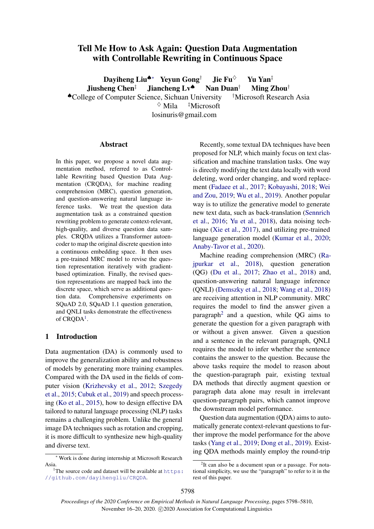# Tell Me How to Ask Again: Question Data Augmentation with Controllable Rewriting in Continuous Space

Daviheng Liu<sup>◆∗</sup> Yevun Gong<sup>†</sup> Jie Fu<sup>◇</sup> Yu Yan<sup>‡</sup> Jiusheng Chen<sup>‡</sup> Jiancheng Lv<sup> $\spadesuit$ </sup> Nan Duan<sup>†</sup> Ming Zhou<sup>†</sup> ♠College of Computer Science, Sichuan University †Microsoft Research Asia  $\Diamond$  Mila  $\Box$ <sup>†</sup>Microsoft

losinuris@gmail.com

#### Abstract

In this paper, we propose a novel data augmentation method, referred to as Controllable Rewriting based Question Data Augmentation (CRQDA), for machine reading comprehension (MRC), question generation, and question-answering natural language inference tasks. We treat the question data augmentation task as a constrained question rewriting problem to generate context-relevant, high-quality, and diverse question data samples. CRQDA utilizes a Transformer autoencoder to map the original discrete question into a continuous embedding space. It then uses a pre-trained MRC model to revise the question representation iteratively with gradientbased optimization. Finally, the revised question representations are mapped back into the discrete space, which serve as additional question data. Comprehensive experiments on SQuAD 2.0, SQuAD 1.1 question generation, and QNLI tasks demonstrate the effectiveness of CRQDA<sup>[1](#page-0-0)</sup>.

#### 1 Introduction

Data augmentation (DA) is commonly used to improve the generalization ability and robustness of models by generating more training examples. Compared with the DA used in the fields of computer vision [\(Krizhevsky et al.,](#page-8-0) [2012;](#page-8-0) [Szegedy](#page-9-0) [et al.,](#page-9-0) [2015;](#page-9-0) [Cubuk et al.,](#page-8-1) [2019\)](#page-8-1) and speech processing [\(Ko et al.,](#page-8-2) [2015\)](#page-8-2), how to design effective DA tailored to natural language processing (NLP) tasks remains a challenging problem. Unlike the general image DA techniques such as rotation and cropping, it is more difficult to synthesize new high-quality and diverse text.

Recently, some textual DA techniques have been proposed for NLP, which mainly focus on text classification and machine translation tasks. One way is directly modifying the text data locally with word deleting, word order changing, and word replacement [\(Fadaee et al.,](#page-8-3) [2017;](#page-8-3) [Kobayashi,](#page-8-4) [2018;](#page-8-4) [Wei](#page-9-1) [and Zou,](#page-9-1) [2019;](#page-9-1) [Wu et al.,](#page-9-2) [2019\)](#page-9-2). Another popular way is to utilize the generative model to generate new text data, such as back-translation [\(Sennrich](#page-9-3) [et al.,](#page-9-3) [2016;](#page-9-3) [Yu et al.,](#page-10-0) [2018\)](#page-10-0), data noising technique [\(Xie et al.,](#page-9-4) [2017\)](#page-9-4), and utilizing pre-trained language generation model [\(Kumar et al.,](#page-8-5) [2020;](#page-8-5) [Anaby-Tavor et al.,](#page-8-6) [2020\)](#page-8-6).

Machine reading comprehension (MRC) [\(Ra](#page-9-5)[jpurkar et al.,](#page-9-5) [2018\)](#page-9-5), question generation (QG) [\(Du et al.,](#page-8-7) [2017;](#page-8-7) [Zhao et al.,](#page-10-1) [2018\)](#page-10-1) and, question-answering natural language inference (QNLI) [\(Demszky et al.,](#page-8-8) [2018;](#page-8-8) [Wang et al.,](#page-9-6) [2018\)](#page-9-6) are receiving attention in NLP community. MRC requires the model to find the answer given a paragraph<sup>[2](#page-0-1)</sup> and a question, while QG aims to generate the question for a given paragraph with or without a given answer. Given a question and a sentence in the relevant paragraph, QNLI requires the model to infer whether the sentence contains the answer to the question. Because the above tasks require the model to reason about the question-paragraph pair, existing textual DA methods that directly augment question or paragraph data alone may result in irrelevant question-paragraph pairs, which cannot improve the downstream model performance.

Question data augmentation (QDA) aims to automatically generate context-relevant questions to further improve the model performance for the above tasks [\(Yang et al.,](#page-10-2) [2019;](#page-10-2) [Dong et al.,](#page-8-9) [2019\)](#page-8-9). Existing QDA methods mainly employ the round-trip

<sup>∗</sup> Work is done during internship at Microsoft Research Asia.

<span id="page-0-0"></span><sup>&</sup>lt;sup>1</sup>The source code and dataset will be available at [https:](https://github.com/dayihengliu/CRQDA) [//github.com/dayihengliu/CRQDA](https://github.com/dayihengliu/CRQDA).

<span id="page-0-1"></span><sup>&</sup>lt;sup>2</sup>It can also be a document span or a passage. For notational simplicity, we use the "paragraph" to refer to it in the rest of this paper.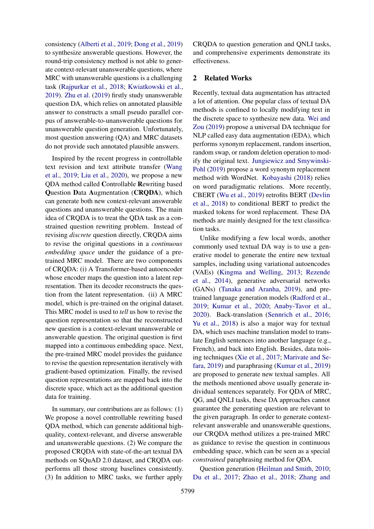consistency [\(Alberti et al.,](#page-8-10) [2019;](#page-8-10) [Dong et al.,](#page-8-9) [2019\)](#page-8-9) to synthesize answerable questions. However, the round-trip consistency method is not able to generate context-relevant unanswerable questions, where MRC with unanswerable questions is a challenging task [\(Rajpurkar et al.,](#page-9-5) [2018;](#page-9-5) [Kwiatkowski et al.,](#page-9-7) [2019\)](#page-9-7). [Zhu et al.](#page-10-3) [\(2019\)](#page-10-3) firstly study unanswerable question DA, which relies on annotated plausible answer to constructs a small pseudo parallel corpus of answerable-to-unanswerable questions for unanswerable question generation. Unfortunately, most question answering (QA) and MRC datasets do not provide such annotated plausible answers.

Inspired by the recent progress in controllable text revision and text attribute transfer [\(Wang](#page-9-8) [et al.,](#page-9-8) [2019;](#page-9-8) [Liu et al.,](#page-9-9) [2020\)](#page-9-9), we propose a new QDA method called Controllable Rewriting based Question Data Augmentation (CRQDA), which can generate both new context-relevant answerable questions and unanswerable questions. The main idea of CRQDA is to treat the QDA task as a constrained question rewriting problem. Instead of revising *discrete* question directly, CRQDA aims to revise the original questions in a *continuous embedding space* under the guidance of a pretrained MRC model. There are two components of CRQDA: (i) A Transformer-based autoencoder whose encoder maps the question into a latent representation. Then its decoder reconstructs the question from the latent representation. (ii) A MRC model, which is pre-trained on the original dataset. This MRC model is used to *tell* us how to revise the question representation so that the reconstructed new question is a context-relevant unanswerable or answerable question. The original question is first mapped into a continuous embedding space. Next, the pre-trained MRC model provides the guidance to revise the question representation iteratively with gradient-based optimization. Finally, the revised question representations are mapped back into the discrete space, which act as the additional question data for training.

In summary, our contributions are as follows: (1) We propose a novel controllable rewriting based QDA method, which can generate additional highquality, context-relevant, and diverse answerable and unanswerable questions. (2) We compare the proposed CRQDA with state-of-the-art textual DA methods on SQuAD 2.0 dataset, and CRQDA outperforms all those strong baselines consistently. (3) In addition to MRC tasks, we further apply

CRQDA to question generation and QNLI tasks, and comprehensive experiments demonstrate its effectiveness.

### 2 Related Works

Recently, textual data augmentation has attracted a lot of attention. One popular class of textual DA methods is confined to locally modifying text in the discrete space to synthesize new data. [Wei and](#page-9-1) [Zou](#page-9-1) [\(2019\)](#page-9-1) propose a universal DA technique for NLP called easy data augmentation (EDA), which performs synonym replacement, random insertion, random swap, or random deletion operation to modify the original text. [Jungiewicz and Smywinski-](#page-8-11)[Pohl](#page-8-11) [\(2019\)](#page-8-11) propose a word synonym replacement method with WordNet. [Kobayashi](#page-8-4) [\(2018\)](#page-8-4) relies on word paradigmatic relations. More recently, CBERT [\(Wu et al.,](#page-9-2) [2019\)](#page-9-2) retrofits BERT [\(Devlin](#page-8-12) [et al.,](#page-8-12) [2018\)](#page-8-12) to conditional BERT to predict the masked tokens for word replacement. These DA methods are mainly designed for the text classification tasks.

Unlike modifying a few local words, another commonly used textual DA way is to use a generative model to generate the entire new textual samples, including using variational autoencodes (VAEs) [\(Kingma and Welling,](#page-8-13) [2013;](#page-8-13) [Rezende](#page-9-10) [et al.,](#page-9-10) [2014\)](#page-9-10), generative adversarial networks (GANs) [\(Tanaka and Aranha,](#page-9-11) [2019\)](#page-9-11), and pretrained language generation models [\(Radford et al.,](#page-9-12) [2019;](#page-9-12) [Kumar et al.,](#page-8-5) [2020;](#page-8-5) [Anaby-Tavor et al.,](#page-8-6) [2020\)](#page-8-6). Back-translation [\(Sennrich et al.,](#page-9-3) [2016;](#page-9-3) [Yu et al.,](#page-10-0) [2018\)](#page-10-0) is also a major way for textual DA, which uses machine translation model to translate English sentences into another language (e.g., French), and back into English. Besides, data noising techniques [\(Xie et al.,](#page-9-4) [2017;](#page-9-4) [Marivate and Se](#page-9-13)[fara,](#page-9-13) [2019\)](#page-9-13) and paraphrasing [\(Kumar et al.,](#page-8-14) [2019\)](#page-8-14) are proposed to generate new textual samples. All the methods mentioned above usually generate individual sentences separately. For QDA of MRC, QG, and QNLI tasks, these DA approaches cannot guarantee the generating question are relevant to the given paragraph. In order to generate contextrelevant answerable and unanswerable questions, our CRQDA method utilizes a pre-trained MRC as guidance to revise the question in continuous embedding space, which can be seen as a special *constrained* paraphrasing method for QDA.

Question generation [\(Heilman and Smith,](#page-8-15) [2010;](#page-8-15) [Du et al.,](#page-8-7) [2017;](#page-8-7) [Zhao et al.,](#page-10-1) [2018;](#page-10-1) [Zhang and](#page-10-4)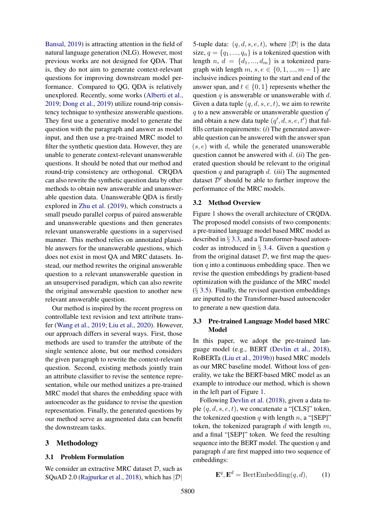[Bansal,](#page-10-4) [2019\)](#page-10-4) is attracting attention in the field of natural language generation (NLG). However, most previous works are not designed for QDA. That is, they do not aim to generate context-relevant questions for improving downstream model performance. Compared to QG, QDA is relatively unexplored. Recently, some works [\(Alberti et al.,](#page-8-10) [2019;](#page-8-10) [Dong et al.,](#page-8-9) [2019\)](#page-8-9) utilize round-trip consistency technique to synthesize answerable questions. They first use a generative model to generate the question with the paragraph and answer as model input, and then use a pre-trained MRC model to filter the synthetic question data. However, they are unable to generate context-relevant unanswerable questions. It should be noted that our method and round-trip consistency are orthogonal. CRQDA can also rewrite the synthetic question data by other methods to obtain new answerable and unanswerable question data. Unanswerable QDA is firstly explored in [Zhu et al.](#page-10-3) [\(2019\)](#page-10-3), which constructs a small pseudo parallel corpus of paired answerable and unanswerable questions and then generates relevant unanswerable questions in a supervised manner. This method relies on annotated plausible answers for the unanswerable questions, which does not exist in most QA and MRC datasets. Instead, our method rewrites the original answerable question to a relevant unanswerable question in an unsupervised paradigm, which can also rewrite the original answerable question to another new relevant answerable question.

Our method is inspired by the recent progress on controllable text revision and text attribute transfer [\(Wang et al.,](#page-9-8) [2019;](#page-9-8) [Liu et al.,](#page-9-9) [2020\)](#page-9-9). However, our approach differs in several ways. First, those methods are used to transfer the attribute of the single sentence alone, but our method considers the given paragraph to rewrite the context-relevant question. Second, existing methods jointly train an attribute classifier to revise the sentence representation, while our method unitizes a pre-trained MRC model that shares the embedding space with autoencoder as the guidance to revise the question representation. Finally, the generated questions by our method serve as augmented data can benefit the downstream tasks.

### 3 Methodology

### 3.1 Problem Formulation

We consider an extractive MRC dataset  $D$ , such as SQuAD 2.0 [\(Rajpurkar et al.,](#page-9-5) [2018\)](#page-9-5), which has  $|\mathcal{D}|$ 

5-tuple data:  $(q, d, s, e, t)$ , where  $|\mathcal{D}|$  is the data size,  $q = \{q_1, ..., q_n\}$  is a tokenized question with length  $n, d = \{d_1, ..., d_m\}$  is a tokenized paragraph with length  $m, s, e \in \{0, 1, ..., m-1\}$  are inclusive indices pointing to the start and end of the answer span, and  $t \in \{0, 1\}$  represents whether the question  $q$  is answerable or unanswerable with  $d$ . Given a data tuple  $(q, d, s, e, t)$ , we aim to rewrite  $q$  to a new answerable or unanswerable question  $q'$ and obtain a new data tuple  $(q', d, s, e, t')$  that fulfills certain requirements: (*i*) The generated answerable question can be answered with the answer span  $(s, e)$  with d, while the generated unanswerable question cannot be answered with d. (*ii*) The generated question should be relevant to the original question q and paragraph d. (*iii*) The augmented dataset  $D'$  should be able to further improve the performance of the MRC models.

#### 3.2 Method Overview

Figure [1](#page-3-0) shows the overall architecture of CRQDA. The proposed model consists of two components: a pre-trained language model based MRC model as described in § [3.3,](#page-2-0) and a Transformer-based autoencoder as introduced in  $\S$  [3.4.](#page-3-1) Given a question q from the original dataset  $D$ , we first map the question  $q$  into a continuous embedding space. Then we revise the question embeddings by gradient-based optimization with the guidance of the MRC model  $(\S$  [3.5\)](#page-4-0). Finally, the revised question embeddings are inputted to the Transformer-based autoencoder to generate a new question data.

### <span id="page-2-0"></span>3.3 Pre-trained Language Model based MRC Model

In this paper, we adopt the pre-trained language model (e.g., BERT [\(Devlin et al.,](#page-8-12) [2018\)](#page-8-12), RoBERTa [\(Liu et al.,](#page-9-14) [2019b\)](#page-9-14)) based MRC models as our MRC baseline model. Without loss of generality, we take the BERT-based MRC model as an example to introduce our method, which is shown in the left part of Figure [1.](#page-3-0)

Following [Devlin et al.](#page-8-12) [\(2018\)](#page-8-12), given a data tuple  $(q, d, s, e, t)$ , we concatenate a "[CLS]" token, the tokenized question q with length n, a "[SEP]" token, the tokenized paragraph  $d$  with length  $m$ , and a final "[SEP]" token. We feed the resulting sequence into the BERT model. The question  $q$  and paragraph d are first mapped into two sequence of embeddings:

$$
\mathbf{E}^{q}, \mathbf{E}^{d} = \text{BertEmbedding}(q, d), \qquad (1)
$$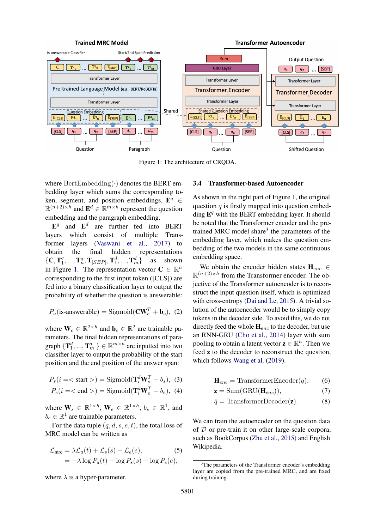<span id="page-3-0"></span>

Figure 1: The architecture of CRQDA.

where  $\text{BertEmbedding}(\cdot)$  denotes the BERT embedding layer which sums the corresponding token, segment, and position embeddings,  $\mathbf{E}^{q} \in$  $\mathbb{R}^{(n+2)\times h}$  and  $\mathbf{E}^d \in \mathbb{R}^{m \times h}$  represent the question embedding and the paragraph embedding.

 $\mathbf{E}^q$  and  $\mathbf{E}^d$  are further fed into BERT layers which consist of multiple Transformer layers [\(Vaswani et al.,](#page-9-15) [2017\)](#page-9-15) to obtain the final hidden representations  ${C, T_1^q}$  $\mathbf{I}_1^q,...,\mathbf{T}_n^q,\mathbf{T}_{[SEP]},\mathbf{T}_1^d,...,\mathbf{T}_n^d$ as shown in Figure [1.](#page-3-0) The representation vector  $C \in \mathbb{R}^h$ corresponding to the first input token ([CLS]) are fed into a binary classification layer to output the probability of whether the question is answerable:

$$
P_a(\text{is-answerable}) = \text{Sigmoid}(\mathbf{CW}_c^T + \mathbf{b}_c), (2)
$$

where  $\mathbf{W}_c \in \mathbb{R}^{2 \times h}$  and  $\mathbf{b}_c \in \mathbb{R}^2$  are trainable parameters. The final hidden representations of paragraph  $\{\mathbf T_1^d, ..., \mathbf T_m^d\} \in \mathbb R^{m \times h}$  are inputted into two classifier layer to output the probability of the start position and the end position of the answer span:

$$
P_s(i = <\text{start}>) = \text{Sigmoid}(\mathbf{T}_i^d \mathbf{W}_s^T + b_s), \tag{3}
$$

$$
P_e(i = <\text{end}>) = \text{Sigmoid}(\mathbf{T}_i^d \mathbf{W}_e^T + b_e), \ (4)
$$

where  $\mathbf{W}_s \in \mathbb{R}^{1 \times h}$ ,  $\mathbf{W}_e \in \mathbb{R}^{1 \times h}$ ,  $b_s \in \mathbb{R}^1$ , and  $b_e \in \mathbb{R}^1$  are trainable parameters.

For the data tuple  $(q, d, s, e, t)$ , the total loss of MRC model can be written as

$$
\mathcal{L}_{\text{mrc}} = \lambda \mathcal{L}_a(t) + \mathcal{L}_s(s) + \mathcal{L}_e(e), \tag{5}
$$

$$
= -\lambda \log P_a(t) - \log P_s(s) - \log P_e(e),
$$

where  $\lambda$  is a hyper-parameter.

### <span id="page-3-1"></span>3.4 Transformer-based Autoencoder

As shown in the right part of Figure [1,](#page-3-0) the original question  $q$  is firstly mapped into question embedding  $\mathbf{E}^q$  with the BERT embedding layer. It should be noted that the Transformer encoder and the pre-trained MRC model share<sup>[3](#page-3-2)</sup> the parameters of the embedding layer, which makes the question embedding of the two models in the same continuous embedding space.

We obtain the encoder hidden states  $H_{enc} \in$  $\mathbb{R}^{(n+2)\times h}$  from the Transformer encoder. The objective of the Transformer autoencoder is to reconstruct the input question itself, which is optimized with cross-entropy [\(Dai and Le,](#page-8-16) [2015\)](#page-8-16). A trivial solution of the autoencoder would be to simply copy tokens in the decoder side. To avoid this, we do not directly feed the whole  $H_{enc}$  to the decoder, but use an RNN-GRU [\(Cho et al.,](#page-8-17) [2014\)](#page-8-17) layer with sum pooling to obtain a latent vector  $z \in \mathbb{R}^h$ . Then we feed z to the decoder to reconstruct the question, which follows [Wang et al.](#page-9-8) [\(2019\)](#page-9-8).

$$
\mathbf{H}_{enc} = \text{TransformerEncoder}(q), \qquad (6)
$$

$$
\mathbf{z} = \text{Sum}(\text{GRU}(\mathbf{H}_{enc})),\tag{7}
$$

$$
\hat{q} = \text{TransformerDecoder}(\mathbf{z}).\tag{8}
$$

We can train the autoencoder on the question data of  $D$  or pre-train it on other large-scale corpora, such as BookCorpus [\(Zhu et al.,](#page-10-5) [2015\)](#page-10-5) and English Wikipedia.

<span id="page-3-2"></span> $3$ The parameters of the Transformer encoder's embedding layer are copied from the pre-trained MRC, and are fixed during training.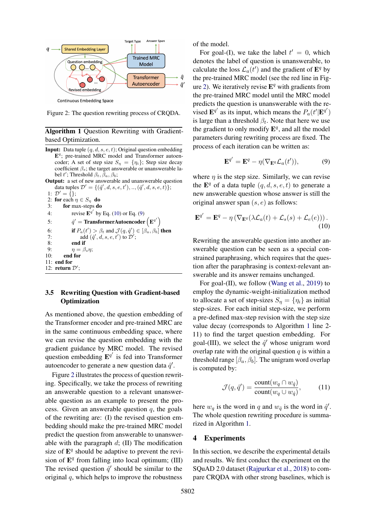<span id="page-4-3"></span>

**Continuous Embedding Space** 

Figure 2: The question rewriting process of CRQDA.

## <span id="page-4-4"></span>Algorithm 1 Question Rewriting with Gradientbased Optimization.

- **Input:** Data tuple  $(q, d, s, e, t)$ ; Original question embedding E<sup>q</sup>; pre-trained MRC model and Transformer autoencoder; A set of step size  $S_n = \{\eta_i\}$ ; Step size decay coefficient  $\beta_s$ ; the target answerable or unanswerable label t'; Threshold  $\beta_t$ ,  $\bar{\beta}_a$ ,  $\beta_b$ ; Output: a set of new answerable and unanswerable question
- data tuples  $\mathcal{D}' = \{(\hat{q}',d,s,e,t'),..,(\hat{q}',d,s,e,t)\};$ 1:  $\mathcal{D}' = \{\};$

```
2: for each \eta \in S_{\eta} do<br>3: for max-steps do
           for max-steps do
```

```
4: revise \mathbf{E}^{q'}(10)(9)
 5:\mathbf{y}' = \mathbf{Transformer} \mathbf{Autoencoder} \left(\mathbf{E}^{q'}\right)\lambda6: if P_a(t') > \beta_t and \mathcal{J}(q, \hat{q}') \in [\beta_a, \beta_b] then
 7: add (\hat{q}', d, s, e, t') to \mathcal{D}';
 8: end if
 9: \eta = \beta_s \eta;10: end for
11: end for
12: return \mathcal{D}';
```
## <span id="page-4-0"></span>3.5 Rewriting Question with Gradient-based **Optimization**

As mentioned above, the question embedding of the Transformer encoder and pre-trained MRC are in the same continuous embedding space, where we can revise the question embedding with the gradient guidance by MRC model. The revised question embedding  $\mathbf{E}^{q'}$  is fed into Transformer autoencoder to generate a new question data  $\hat{q}'$ .

Figure [2](#page-4-3) illustrates the process of question rewriting. Specifically, we take the process of rewriting an answerable question to a relevant unanswerable question as an example to present the process. Given an answerable question  $q$ , the goals of the rewriting are: (I) the revised question embedding should make the pre-trained MRC model predict the question from answerable to unanswerable with the paragraph  $d$ ; (II) The modification size of  $\mathbf{E}^q$  should be adaptive to prevent the revision of  $E^q$  from falling into local optimum; (III) The revised question  $\hat{q}'$  should be similar to the original  $q$ , which helps to improve the robustness

of the model.

For goal-(I), we take the label  $t' = 0$ , which denotes the label of question is unanswerable, to calculate the loss  $\mathcal{L}_a(t')$  and the gradient of  $\mathbf{E}^q$  by the pre-trained MRC model (see the red line in Fig-ure [2\)](#page-4-3). We iteratively revise  $\mathbf{E}^{q}$  with gradients from the pre-trained MRC model until the MRC model predicts the question is unanswerable with the revised  $\mathbf{E}^{q'}$  as its input, which means the  $P_a(t'|\mathbf{E}^{q'})$ is large than a threshold  $\beta_t$ . Note that here we use the gradient to only modify  $\mathbf{E}^{q}$ , and all the model parameters during rewriting process are fixed. The process of each iteration can be written as:

<span id="page-4-2"></span><span id="page-4-1"></span>
$$
\mathbf{E}^{q'} = \mathbf{E}^q - \eta(\nabla_{\mathbf{E}^q} \mathcal{L}_a(t')), \tag{9}
$$

where  $\eta$  is the step size. Similarly, we can revise the  $\mathbf{E}^q$  of a data tuple  $(q, d, s, e, t)$  to generate a new answerable question whose answer is still the original answer span  $(s, e)$  as follows:

$$
\mathbf{E}^{q'} = \mathbf{E}^q - \eta \left( \nabla_{\mathbf{E}^q} (\lambda \mathcal{L}_a(t) + \mathcal{L}_s(s) + \mathcal{L}_e(e))) \right). \tag{10}
$$

Rewriting the answerable question into another answerable question can be seen as a special constrained paraphrasing, which requires that the question after the paraphrasing is context-relevant answerable and its answer remains unchanged.

For goal-(II), we follow [\(Wang et al.,](#page-9-8) [2019\)](#page-9-8) to employ the dynamic-weight-initialization method to allocate a set of step-sizes  $S_n = \{\eta_i\}$  as initial step-sizes. For each initial step-size, we perform a pre-defined max-step revision with the step size value decay (corresponds to Algorithm [1](#page-4-4) line 2- 11) to find the target question embedding. For goal-(III), we select the  $\hat{q}'$  whose unigram word overlap rate with the original question  $q$  is within a threshold range  $[\beta_a, \beta_b]$ . The unigram word overlap is computed by:

$$
\mathcal{J}(q, \hat{q}') = \frac{\text{count}(w_q \cap w_{\hat{q}})}{\text{count}(w_q \cup w_{\hat{q}})},\tag{11}
$$

here  $w_q$  is the word in q and  $w_{\hat{q}}$  is the word in  $\hat{q}'$ . The whole question rewriting procedure is summarized in Algorithm [1.](#page-4-4)

#### 4 Experiments

In this section, we describe the experimental details and results. We first conduct the experiment on the SQuAD 2.0 dataset [\(Rajpurkar et al.,](#page-9-5) [2018\)](#page-9-5) to compare CRQDA with other strong baselines, which is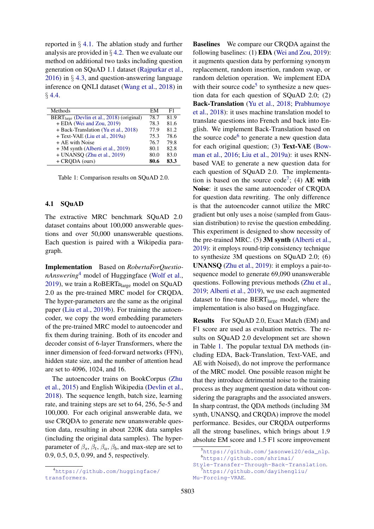reported in § [4.1.](#page-5-0) The ablation study and further analysis are provided in § [4.2.](#page-6-0) Then we evaluate our method on additional two tasks including question generation on SQuAD 1.1 dataset [\(Rajpurkar et al.,](#page-9-16) [2016\)](#page-9-16) in § [4.3,](#page-7-0) and question-answering language inference on QNLI dataset [\(Wang et al.,](#page-9-6) [2018\)](#page-9-6) in  $§ 4.4.$  $§ 4.4.$ 

<span id="page-5-5"></span>

| Methods                                                | EM   | F1   |
|--------------------------------------------------------|------|------|
| BERT <sub>large</sub> (Devlin et al., 2018) (original) | 78.7 | 81.9 |
| + EDA (Wei and Zou, 2019)                              | 78.3 | 81.6 |
| + Back-Translation (Yu et al., 2018)                   | 77.9 | 81.2 |
| + Text-VAE (Liu et al., 2019a)                         | 75.3 | 78.6 |
| + AE with Noise                                        | 76.7 | 79.8 |
| + 3M synth (Alberti et al., 2019)                      | 80.1 | 82.8 |
| + UNANSO (Zhu et al., 2019)                            | 80.0 | 83.0 |
| $+$ CRODA (ours)                                       | 80.6 | 83.3 |

Table 1: Comparison results on SQuAD 2.0.

#### <span id="page-5-0"></span>4.1 SQuAD

The extractive MRC benchmark SQuAD 2.0 dataset contains about 100,000 answerable questions and over 50,000 unanswerable questions. Each question is paired with a Wikipedia paragraph.

Implementation Based on *RobertaForQuestionAnswering*[4](#page-5-1) model of Huggingface [\(Wolf et al.,](#page-9-18) [2019\)](#page-9-18), we train a RoBERTalarge model on SQuAD 2.0 as the pre-trained MRC model for CRQDA. The hyper-parameters are the same as the original paper [\(Liu et al.,](#page-9-14) [2019b\)](#page-9-14). For training the autoencoder, we copy the word embedding parameters of the pre-trained MRC model to autoencoder and fix them during training. Both of its encoder and decoder consist of 6-layer Transformers, where the inner dimension of feed-forward networks (FFN), hidden state size, and the number of attention head are set to 4096, 1024, and 16.

The autoencoder trains on BookCorpus [\(Zhu](#page-10-5) [et al.,](#page-10-5) [2015\)](#page-10-5) and English Wikipedia [\(Devlin et al.,](#page-8-12) [2018\)](#page-8-12). The sequence length, batch size, learning rate, and training steps are set to 64, 256, 5e-5 and 100,000. For each original answerable data, we use CRQDA to generate new unanswerable question data, resulting in about 220K data samples (including the original data samples). The hyperparameter of  $\beta_s$ ,  $\beta_t$ ,  $\beta_a$ ,  $\beta_b$ , and max-step are set to 0.9, 0.5, 0.5, 0.99, and 5, respectively.

Baselines We compare our CRQDA against the following baselines: (1) EDA [\(Wei and Zou,](#page-9-1) [2019\)](#page-9-1): it augments question data by performing synonym replacement, random insertion, random swap, or random deletion operation. We implement EDA with their source  $\text{code}^5$  $\text{code}^5$  to synthesize a new question data for each question of SQuAD 2.0; (2) Back-Translation [\(Yu et al.,](#page-10-0) [2018;](#page-10-0) [Prabhumoye](#page-9-19) [et al.,](#page-9-19) [2018\)](#page-9-19): it uses machine translation model to translate questions into French and back into English. We implement Back-Translation based on the source code<sup>[6](#page-5-3)</sup> to generate a new question data for each original question; (3) Text-VAE [\(Bow](#page-8-18)[man et al.,](#page-8-18) [2016;](#page-8-18) [Liu et al.,](#page-9-17) [2019a\)](#page-9-17): it uses RNNbased VAE to generate a new question data for each question of SQuAD 2.0. The implementa-tion is based on the source code<sup>[7](#page-5-4)</sup>; (4)  $AE$  with Noise: it uses the same autoencoder of CRQDA for question data rewriting. The only difference is that the autoencoder cannot utilize the MRC gradient but only uses a noise (sampled from Gaussian distribution) to revise the question embedding. This experiment is designed to show necessity of the pre-trained MRC. (5) 3M synth [\(Alberti et al.,](#page-8-10) [2019\)](#page-8-10): it employs round-trip consistency technique to synthesize 3M questions on SQuAD 2.0; (6) UNANSQ [\(Zhu et al.,](#page-10-3) [2019\)](#page-10-3): it employs a pair-tosequence model to generate 69,090 unanswerable questions. Following previous methods [\(Zhu et al.,](#page-10-3) [2019;](#page-10-3) [Alberti et al.,](#page-8-10) [2019\)](#page-8-10), we use each augmented dataset to fine-tune BERT<sub>large</sub> model, where the implementation is also based on Huggingface.

Results For SQuAD 2.0, Exact Match (EM) and F1 score are used as evaluation metrics. The results on SQuAD 2.0 development set are shown in Table [1.](#page-5-5) The popular textual DA methods (including EDA, Back-Translation, Text-VAE, and AE with Noised), do not improve the performance of the MRC model. One possible reason might be that they introduce detrimental noise to the training process as they augment question data without considering the paragraphs and the associated answers. In sharp contrast, the QDA methods (including 3M synth, UNANSQ, and CRQDA) improve the model performance. Besides, our CRQDA outperforms all the strong baselines, which brings about 1.9 absolute EM score and 1.5 F1 score improvement

<span id="page-5-1"></span><sup>4</sup>[https://github.com/huggingface/](https://github.com/huggingface/transformers) [transformers](https://github.com/huggingface/transformers).

<span id="page-5-3"></span><span id="page-5-2"></span><sup>5</sup>[https://github.com/jasonwei20/eda\\_nlp](https://github.com/jasonwei20/eda_nlp). <sup>6</sup>[https://github.com/shrimai/](https://github.com/shrimai/Style-Transfer-Through-Back-Translation)

<span id="page-5-4"></span>[Style-Transfer-Through-Back-Translation](https://github.com/shrimai/Style-Transfer-Through-Back-Translation). [https://github.com/dayihengliu/](https://github.com/dayihengliu/Mu-Forcing-VRAE)

[Mu-Forcing-VRAE](https://github.com/dayihengliu/Mu-Forcing-VRAE).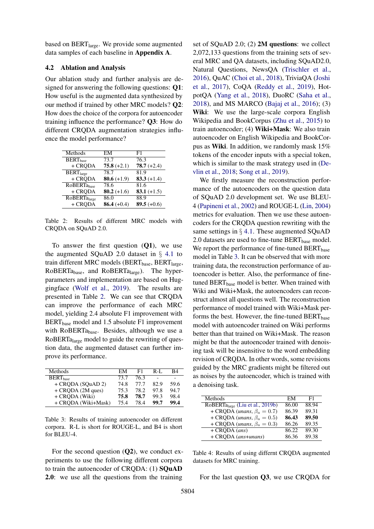based on BERT<sub>large</sub>. We provide some augmented data samples of each baseline in Appendix A.

### <span id="page-6-0"></span>4.2 Ablation and Analysis

Our ablation study and further analysis are designed for answering the following questions: Q1: How useful is the augmented data synthesized by our method if trained by other MRC models? Q2: How does the choice of the corpora for autoencoder training influence the performance? Q3: How do different CRQDA augmentation strategies influence the model performance?

<span id="page-6-1"></span>

| Methods                     | EМ            | F1            |
|-----------------------------|---------------|---------------|
| <b>BERT</b> <sub>hase</sub> | 73.7          | 76.3          |
| + CRQDA                     | $75.8 (+2.1)$ | $78.7 (+2.4)$ |
| BERT <sub>large</sub>       | 78.7          | 81.9          |
| + CRODA                     | 80.6 $(+1.9)$ | $83.3 (+1.4)$ |
| <b>RoBERTa</b> hase         | 78.6          | 81.6          |
| + CRODA                     | $80.2 (+1.6)$ | 83.1 $(+1.5)$ |
| <b>RoBERTalarge</b>         | 86.0          | 88.9          |
| + CRODA                     | 86.4 $(+0.4)$ | 89.5 $(+0.6)$ |

Table 2: Results of different MRC models with CRQDA on SQuAD 2.0.

To answer the first question  $(Q1)$ , we use the augmented SQuAD 2.0 dataset in § [4.1](#page-5-0) to train different MRC models ( $BERT<sub>base</sub>$ ,  $BERT<sub>large</sub>$ ,  $RoBERTa<sub>base</sub>$ , and  $RoBERTa<sub>large</sub>$ ). The hyperparameters and implementation are based on Huggingface [\(Wolf et al.,](#page-9-18) [2019\)](#page-9-18). The results are presented in Table [2.](#page-6-1) We can see that CRQDA can improve the performance of each MRC model, yielding 2.4 absolute F1 improvement with  $BERT<sub>base</sub> model and 1.5 absolute F1 improvement$ with  $RoBERTa<sub>base</sub>$ . Besides, although we use a RoBERTalarge model to guide the rewriting of question data, the augmented dataset can further improve its performance.

<span id="page-6-2"></span>

| Methods              | EM   | F1   | R-L  | B4   |
|----------------------|------|------|------|------|
| BERT <sub>base</sub> | 73.7 | 76.3 |      |      |
| + CRODA (SOuAD 2)    | 74.8 | 77.7 | 82.9 | 59.6 |
| + CRQDA (2M ques)    | 75.3 | 78.2 | 97.8 | 94.7 |
| + CRODA (Wiki)       | 75.8 | 78.7 | 99.3 | 98.4 |
| + CRODA (Wiki+Mask)  | 75.4 | 78.4 | 99.7 | 99.4 |

Table 3: Results of training autoencoder on different corpora. R-L is short for ROUGE-L, and B4 is short for BLEU-4.

For the second question  $(Q2)$ , we conduct experiments to use the following different corpora to train the autoencoder of CRQDA: (1) SQuAD 2.0: we use all the questions from the training

set of SQuAD 2.0; (2) 2M questions: we collect 2,072,133 questions from the training sets of several MRC and QA datasets, including SQuAD2.0, Natural Questions, NewsQA [\(Trischler et al.,](#page-9-20) [2016\)](#page-9-20), QuAC [\(Choi et al.,](#page-8-19) [2018\)](#page-8-19), TriviaQA [\(Joshi](#page-8-20) [et al.,](#page-8-20) [2017\)](#page-8-20), CoQA [\(Reddy et al.,](#page-9-21) [2019\)](#page-9-21), HotpotQA [\(Yang et al.,](#page-10-6) [2018\)](#page-10-6), DuoRC [\(Saha et al.,](#page-9-22) [2018\)](#page-9-22), and MS MARCO [\(Bajaj et al.,](#page-8-21) [2016\)](#page-8-21); (3) Wiki: We use the large-scale corpora English Wikipedia and BookCorpus [\(Zhu et al.,](#page-10-5) [2015\)](#page-10-5) to train autoencoder; (4) Wiki+Mask: We also train autoencoder on English Wikipedia and BookCorpus as Wiki. In addition, we randomly mask 15% tokens of the encoder inputs with a special token, which is similar to the mask strategy used in [\(De](#page-8-12)[vlin et al.,](#page-8-12) [2018;](#page-8-12) [Song et al.,](#page-9-23) [2019\)](#page-9-23).

We firstly measure the reconstruction performance of the autoencoders on the question data of SQuAD 2.0 development set. We use BLEU-4 [\(Papineni et al.,](#page-9-24) [2002\)](#page-9-24) and ROUGE-L [\(Lin,](#page-9-25) [2004\)](#page-9-25) metrics for evaluation. Then we use these autoencoders for the CRQDA question rewriting with the same settings in  $\S 4.1$ . These augmented SQuAD 2.0 datasets are used to fine-tune  $BERT_{base}$  model. We report the performance of fine-tuned  $BERT_{base}$ model in Table [3.](#page-6-2) It can be observed that with more training data, the reconstruction performance of autoencoder is better. Also, the performance of finetuned  $BERT_{base}$  model is better. When trained with Wiki and Wiki+Mask, the autoencoders can reconstruct almost all questions well. The reconstruction performance of model trained with Wiki+Mask performs the best. However, the fine-tuned  $BERT_{base}$ model with autoencoder trained on Wiki performs better than that trained on Wiki+Mask. The reason might be that the autoencoder trained with denoising task will be insensitive to the word embedding revision of CRQDA. In other words, some revisions guided by the MRC gradients might be filtered out as noises by the autoencoder, which is trained with a denoising task.

<span id="page-6-3"></span>

| Methods                                      | EM    | F1    |
|----------------------------------------------|-------|-------|
| RoBERTa <sub>large</sub> (Liu et al., 2019b) | 86.00 | 88.94 |
| + CRQDA ( <i>unans</i> , $\beta_a = 0.7$ )   | 86.39 | 89.31 |
| + CRQDA ( <i>unans</i> , $\beta_a = 0.5$ )   | 86.43 | 89.50 |
| + CRQDA ( <i>unans</i> , $\beta_a = 0.3$ )   | 86.26 | 89.35 |
| $+$ CRQDA (ans)                              | 86.22 | 89.30 |
| + CRQDA (ans+unans)                          | 86.36 | 89.38 |

Table 4: Results of using differnt CRQDA augmented datasets for MRC training.

For the last question Q3, we use CRQDA for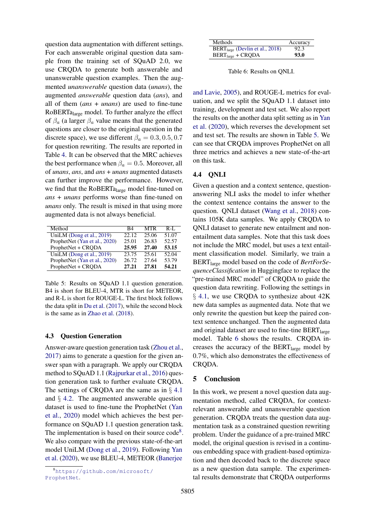question data augmentation with different settings. For each answerable original question data sample from the training set of SQuAD 2.0, we use CRQDA to generate both answerable and unanswerable question examples. Then the augmented *unanswerable* question data (*unans*), the augmented *answerable* question data (*ans*), and all of them (*ans* + *unans*) are used to fine-tune RoBERTalarge model. To further analyze the effect of  $\beta_a$  (a larger  $\beta_a$  value means that the generated questions are closer to the original question in the discrete space), we use different  $\beta_a = 0.3, 0.5, 0.7$ for question rewriting. The results are reported in Table [4.](#page-6-3) It can be observed that the MRC achieves the best performance when  $\beta_a = 0.5$ . Moreover, all of *unans*, *ans*, and *ans* + *unans* augmented datasets can further improve the performance. However, we find that the RoBERTa<sub>large</sub> model fine-tuned on *ans* + *unans* performs worse than fine-tuned on *unans* only. The result is mixed in that using more augmented data is not always beneficial.

<span id="page-7-3"></span>

| Method                        | R4    | <b>MTR</b> | $R-I$ . |
|-------------------------------|-------|------------|---------|
| UniLM (Dong et al., 2019)     | 22.12 | 25.06      | 51.07   |
| ProphetNet (Yan et al., 2020) | 25.01 | 26.83      | 52.57   |
| ProphetNet + CRQDA            | 25.95 | 27.40      | 53.15   |
| UniLM (Dong et al., 2019)     | 23.75 | 25.61      | 52.04   |
| ProphetNet (Yan et al., 2020) | 26.72 | 27.64      | 53.79   |
| ProphetNet + CRQDA            | 27.21 | 27.81      | 54.21   |

Table 5: Results on SQuAD 1.1 question generation. B4 is short for BLEU-4, MTR is short for METEOR, and R-L is short for ROUGE-L. The first block follows the data split in [Du et al.](#page-8-7) [\(2017\)](#page-8-7), while the second block is the same as in [Zhao et al.](#page-10-1) [\(2018\)](#page-10-1).

#### <span id="page-7-0"></span>4.3 Question Generation

Answer-aware question generation task [\(Zhou et al.,](#page-10-7) [2017\)](#page-10-7) aims to generate a question for the given answer span with a paragraph. We apply our CRQDA method to SQuAD 1.1 [\(Rajpurkar et al.,](#page-9-16) [2016\)](#page-9-16) question generation task to further evaluate CRQDA. The settings of CRQDA are the same as in  $\S$  [4.1](#page-5-0) and § [4.2.](#page-6-0) The augmented answerable question dataset is used to fine-tune the ProphetNet [\(Yan](#page-9-26) [et al.,](#page-9-26) [2020\)](#page-9-26) model which achieves the best performance on SQuAD 1.1 question generation task. The implementation is based on their source  $code^8$  $code^8$ . We also compare with the previous state-of-the-art model UniLM [\(Dong et al.,](#page-8-9) [2019\)](#page-8-9). Following [Yan](#page-9-26) [et al.](#page-9-26) [\(2020\)](#page-9-26), we use BLEU-4, METEOR [\(Banerjee](#page-8-22)

<span id="page-7-4"></span>

| Methods                              | Accuracy |
|--------------------------------------|----------|
| $BERT_{large}$ (Devlin et al., 2018) | 92.3     |
| $BERT_{large} + CRQDA$               | 93.0     |

Table 6: Results on QNLI.

[and Lavie,](#page-8-22) [2005\)](#page-8-22), and ROUGE-L metrics for evaluation, and we split the SQuAD 1.1 dataset into training, development and test set. We also report the results on the another data split setting as in [Yan](#page-9-26) [et al.](#page-9-26) [\(2020\)](#page-9-26), which reverses the development set and test set. The results are shown in Table [5.](#page-7-3) We can see that CRQDA improves ProphetNet on all three metrics and achieves a new state-of-the-art on this task.

### <span id="page-7-1"></span>4.4 QNLI

Given a question and a context sentence, questionanswering NLI asks the model to infer whether the context sentence contains the answer to the question. QNLI dataset [\(Wang et al.,](#page-9-6) [2018\)](#page-9-6) contains 105K data samples. We apply CRQDA to QNLI dataset to generate new entailment and nonentailment data samples. Note that this task does not include the MRC model, but uses a text entailment classification model. Similarly, we train a BERTlarge model based on the code of *BertForSequenceClassification* in Huggingface to replace the "pre-trained MRC model" of CRQDA to guide the question data rewriting. Following the settings in § [4.1,](#page-5-0) we use CRQDA to synthesize about 42K new data samples as augmented data. Note that we only rewrite the question but keep the paired context sentence unchanged. Then the augmented data and original dataset are used to fine-tine  $BERT_{\text{large}}$ model. Table [6](#page-7-4) shows the results. CRQDA increases the accuracy of the BERT<sub>large</sub> model by 0.7%, which also demonstrates the effectiveness of CRQDA.

#### 5 Conclusion

In this work, we present a novel question data augmentation method, called CRQDA, for contextrelevant answerable and unanswerable question generation. CRQDA treats the question data augmentation task as a constrained question rewriting problem. Under the guidance of a pre-trained MRC model, the original question is revised in a continuous embedding space with gradient-based optimization and then decoded back to the discrete space as a new question data sample. The experimental results demonstrate that CRQDA outperforms

<span id="page-7-2"></span><sup>8</sup>[https://github.com/microsoft/](#page-8-22) [ProphetNet](#page-8-22).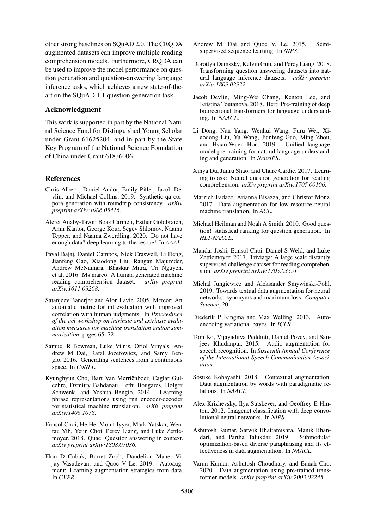other strong baselines on SQuAD 2.0. The CRQDA augmented datasets can improve multiple reading comprehension models. Furthermore, CRQDA can be used to improve the model performance on question generation and question-answering language inference tasks, which achieves a new state-of-theart on the SQuAD 1.1 question generation task.

### Acknowledgment

This work is supported in part by the National Natural Science Fund for Distinguished Young Scholar under Grant 61625204, and in part by the State Key Program of the National Science Foundation of China under Grant 61836006.

### References

- <span id="page-8-10"></span>Chris Alberti, Daniel Andor, Emily Pitler, Jacob Devlin, and Michael Collins. 2019. Synthetic qa corpora generation with roundtrip consistency. *arXiv preprint arXiv:1906.05416*.
- <span id="page-8-6"></span>Ateret Anaby-Tavor, Boaz Carmeli, Esther Goldbraich, Amir Kantor, George Kour, Segev Shlomov, Naama Tepper, and Naama Zwerdling. 2020. Do not have enough data? deep learning to the rescue! In *AAAI*.
- <span id="page-8-21"></span>Payal Bajaj, Daniel Campos, Nick Craswell, Li Deng, Jianfeng Gao, Xiaodong Liu, Rangan Majumder, Andrew McNamara, Bhaskar Mitra, Tri Nguyen, et al. 2016. Ms marco: A human generated machine reading comprehension dataset. *arXiv preprint arXiv:1611.09268*.
- <span id="page-8-22"></span>Satanjeev Banerjee and Alon Lavie. 2005. Meteor: An automatic metric for mt evaluation with improved correlation with human judgments. In *Proceedings of the acl workshop on intrinsic and extrinsic evaluation measures for machine translation and/or summarization*, pages 65–72.
- <span id="page-8-18"></span>Samuel R Bowman, Luke Vilnis, Oriol Vinyals, Andrew M Dai, Rafal Jozefowicz, and Samy Bengio. 2016. Generating sentences from a continuous space. In *CoNLL*.
- <span id="page-8-17"></span>Kyunghyun Cho, Bart Van Merrienboer, Caglar Gul- ¨ cehre, Dzmitry Bahdanau, Fethi Bougares, Holger Schwenk, and Yoshua Bengio. 2014. Learning phrase representations using rnn encoder-decoder for statistical machine translation. *arXiv preprint arXiv:1406.1078*.
- <span id="page-8-19"></span>Eunsol Choi, He He, Mohit Iyyer, Mark Yatskar, Wentau Yih, Yejin Choi, Percy Liang, and Luke Zettlemoyer. 2018. Quac: Question answering in context. *arXiv preprint arXiv:1808.07036*.
- <span id="page-8-1"></span>Ekin D Cubuk, Barret Zoph, Dandelion Mane, Vijay Vasudevan, and Quoc V Le. 2019. Autoaugment: Learning augmentation strategies from data. In *CVPR*.
- <span id="page-8-16"></span>Andrew M. Dai and Quoc V. Le. 2015. Semisupervised sequence learning. In *NIPS*.
- <span id="page-8-8"></span>Dorottya Demszky, Kelvin Guu, and Percy Liang. 2018. Transforming question answering datasets into natural language inference datasets. *arXiv preprint arXiv:1809.02922*.
- <span id="page-8-12"></span>Jacob Devlin, Ming-Wei Chang, Kenton Lee, and Kristina Toutanova. 2018. Bert: Pre-training of deep bidirectional transformers for language understanding. In *NAACL*.
- <span id="page-8-9"></span>Li Dong, Nan Yang, Wenhui Wang, Furu Wei, Xiaodong Liu, Yu Wang, Jianfeng Gao, Ming Zhou, and Hsiao-Wuen Hon. 2019. Unified language model pre-training for natural language understanding and generation. In *NeurIPS*.
- <span id="page-8-7"></span>Xinya Du, Junru Shao, and Claire Cardie. 2017. Learning to ask: Neural question generation for reading comprehension. *arXiv preprint arXiv:1705.00106*.
- <span id="page-8-3"></span>Marzieh Fadaee, Arianna Bisazza, and Christof Monz. 2017. Data augmentation for low-resource neural machine translation. In *ACL*.
- <span id="page-8-15"></span>Michael Heilman and Noah A Smith. 2010. Good question! statistical ranking for question generation. In *HLT-NAACL*.
- <span id="page-8-20"></span>Mandar Joshi, Eunsol Choi, Daniel S Weld, and Luke Zettlemoyer. 2017. Triviaqa: A large scale distantly supervised challenge dataset for reading comprehension. *arXiv preprint arXiv:1705.03551*.
- <span id="page-8-11"></span>Michal Jungiewicz and Aleksander Smywinski-Pohl. 2019. Towards textual data augmentation for neural networks: synonyms and maximum loss. *Computer Science*, 20.
- <span id="page-8-13"></span>Diederik P Kingma and Max Welling. 2013. Autoencoding variational bayes. In *ICLR*.
- <span id="page-8-2"></span>Tom Ko, Vijayaditya Peddinti, Daniel Povey, and Sanjeev Khudanpur. 2015. Audio augmentation for speech recognition. In *Sixteenth Annual Conference of the International Speech Communication Association*.
- <span id="page-8-4"></span>Sosuke Kobayashi. 2018. Contextual augmentation: Data augmentation by words with paradigmatic relations. In *NAACL*.
- <span id="page-8-0"></span>Alex Krizhevsky, Ilya Sutskever, and Geoffrey E Hinton. 2012. Imagenet classification with deep convolutional neural networks. In *NIPS*.
- <span id="page-8-14"></span>Ashutosh Kumar, Satwik Bhattamishra, Manik Bhandari, and Partha Talukdar. 2019. Submodular optimization-based diverse paraphrasing and its effectiveness in data augmentation. In *NAACL*.
- <span id="page-8-5"></span>Varun Kumar, Ashutosh Choudhary, and Eunah Cho. 2020. Data augmentation using pre-trained transformer models. *arXiv preprint arXiv:2003.02245*.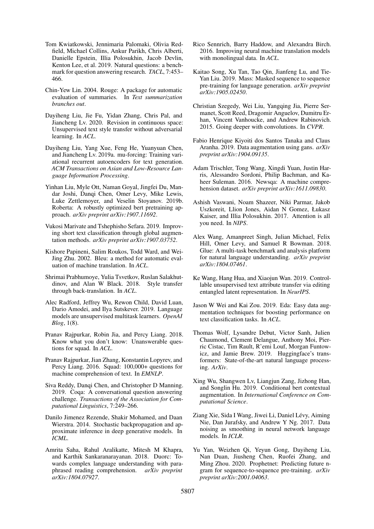- <span id="page-9-7"></span>Tom Kwiatkowski, Jennimaria Palomaki, Olivia Redfield, Michael Collins, Ankur Parikh, Chris Alberti, Danielle Epstein, Illia Polosukhin, Jacob Devlin, Kenton Lee, et al. 2019. Natural questions: a benchmark for question answering research. *TACL*, 7:453– 466.
- <span id="page-9-25"></span>Chin-Yew Lin. 2004. Rouge: A package for automatic evaluation of summaries. In *Text summarization branches out*.
- <span id="page-9-9"></span>Dayiheng Liu, Jie Fu, Yidan Zhang, Chris Pal, and Jiancheng Lv. 2020. Revision in continuous space: Unsupervised text style transfer without adversarial learning. In *ACL*.
- <span id="page-9-17"></span>Dayiheng Liu, Yang Xue, Feng He, Yuanyuan Chen, and Jiancheng Lv. 2019a. mu-forcing: Training variational recurrent autoencoders for text generation. *ACM Transactions on Asian and Low-Resource Language Information Processing*.
- <span id="page-9-14"></span>Yinhan Liu, Myle Ott, Naman Goyal, Jingfei Du, Mandar Joshi, Danqi Chen, Omer Levy, Mike Lewis, Luke Zettlemoyer, and Veselin Stoyanov. 2019b. Roberta: A robustly optimized bert pretraining approach. *arXiv preprint arXiv:1907.11692*.
- <span id="page-9-13"></span>Vukosi Marivate and Tshephisho Sefara. 2019. Improving short text classification through global augmentation methods. *arXiv preprint arXiv:1907.03752*.
- <span id="page-9-24"></span>Kishore Papineni, Salim Roukos, Todd Ward, and Wei-Jing Zhu. 2002. Bleu: a method for automatic evaluation of machine translation. In *ACL*.
- <span id="page-9-19"></span>Shrimai Prabhumoye, Yulia Tsvetkov, Ruslan Salakhutdinov, and Alan W Black. 2018. Style transfer through back-translation. In *ACL*.
- <span id="page-9-12"></span>Alec Radford, Jeffrey Wu, Rewon Child, David Luan, Dario Amodei, and Ilya Sutskever. 2019. Language models are unsupervised multitask learners. *OpenAI Blog*, 1(8).
- <span id="page-9-5"></span>Pranav Rajpurkar, Robin Jia, and Percy Liang. 2018. Know what you don't know: Unanswerable questions for squad. In *ACL*.
- <span id="page-9-16"></span>Pranav Rajpurkar, Jian Zhang, Konstantin Lopyrev, and Percy Liang. 2016. Squad: 100,000+ questions for machine comprehension of text. In *EMNLP*.
- <span id="page-9-21"></span>Siva Reddy, Danqi Chen, and Christopher D Manning. 2019. Coqa: A conversational question answering challenge. *Transactions of the Association for Computational Linguistics*, 7:249–266.
- <span id="page-9-10"></span>Danilo Jimenez Rezende, Shakir Mohamed, and Daan Wierstra. 2014. Stochastic backpropagation and approximate inference in deep generative models. In *ICML*.
- <span id="page-9-22"></span>Amrita Saha, Rahul Aralikatte, Mitesh M Khapra, and Karthik Sankaranarayanan. 2018. Duorc: Towards complex language understanding with paraphrased reading comprehension. *arXiv preprint arXiv:1804.07927*.
- <span id="page-9-3"></span>Rico Sennrich, Barry Haddow, and Alexandra Birch. 2016. Improving neural machine translation models with monolingual data. In *ACL*.
- <span id="page-9-23"></span>Kaitao Song, Xu Tan, Tao Qin, Jianfeng Lu, and Tie-Yan Liu. 2019. Mass: Masked sequence to sequence pre-training for language generation. *arXiv preprint arXiv:1905.02450*.
- <span id="page-9-0"></span>Christian Szegedy, Wei Liu, Yangqing Jia, Pierre Sermanet, Scott Reed, Dragomir Anguelov, Dumitru Erhan, Vincent Vanhoucke, and Andrew Rabinovich. 2015. Going deeper with convolutions. In *CVPR*.
- <span id="page-9-11"></span>Fabio Henrique Kiyoiti dos Santos Tanaka and Claus Aranha. 2019. Data augmentation using gans. *arXiv preprint arXiv:1904.09135*.
- <span id="page-9-20"></span>Adam Trischler, Tong Wang, Xingdi Yuan, Justin Harris, Alessandro Sordoni, Philip Bachman, and Kaheer Suleman. 2016. Newsqa: A machine comprehension dataset. *arXiv preprint arXiv:1611.09830*.
- <span id="page-9-15"></span>Ashish Vaswani, Noam Shazeer, Niki Parmar, Jakob Uszkoreit, Llion Jones, Aidan N Gomez, Łukasz Kaiser, and Illia Polosukhin. 2017. Attention is all you need. In *NIPS*.
- <span id="page-9-6"></span>Alex Wang, Amanpreet Singh, Julian Michael, Felix Hill, Omer Levy, and Samuel R Bowman. 2018. Glue: A multi-task benchmark and analysis platform for natural language understanding. *arXiv preprint arXiv:1804.07461*.
- <span id="page-9-8"></span>Ke Wang, Hang Hua, and Xiaojun Wan. 2019. Controllable unsupervised text attribute transfer via editing entangled latent representation. In *NeurIPS*.
- <span id="page-9-1"></span>Jason W Wei and Kai Zou. 2019. Eda: Easy data augmentation techniques for boosting performance on text classification tasks. In *ACL*.
- <span id="page-9-18"></span>Thomas Wolf, Lysandre Debut, Victor Sanh, Julien Chaumond, Clement Delangue, Anthony Moi, Pierric Cistac, Tim Rault, R'emi Louf, Morgan Funtowicz, and Jamie Brew. 2019. Huggingface's transformers: State-of-the-art natural language processing. *ArXiv*.
- <span id="page-9-2"></span>Xing Wu, Shangwen Lv, Liangjun Zang, Jizhong Han, and Songlin Hu. 2019. Conditional bert contextual augmentation. In *International Conference on Computational Science*.
- <span id="page-9-4"></span>Ziang Xie, Sida I Wang, Jiwei Li, Daniel Lévy, Aiming Nie, Dan Jurafsky, and Andrew Y Ng. 2017. Data noising as smoothing in neural network language models. In *ICLR*.
- <span id="page-9-26"></span>Yu Yan, Weizhen Qi, Yeyun Gong, Dayiheng Liu, Nan Duan, Jiusheng Chen, Ruofei Zhang, and Ming Zhou. 2020. Prophetnet: Predicting future ngram for sequence-to-sequence pre-training. *arXiv preprint arXiv:2001.04063*.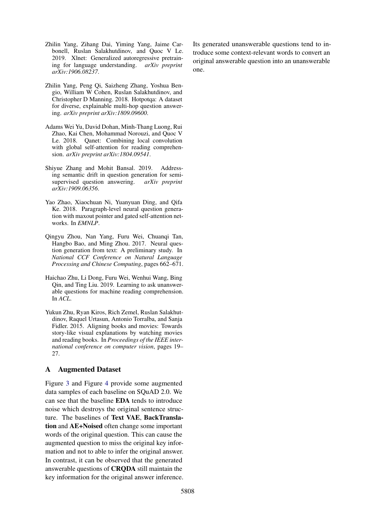- <span id="page-10-2"></span>Zhilin Yang, Zihang Dai, Yiming Yang, Jaime Carbonell, Ruslan Salakhutdinov, and Quoc V Le. 2019. Xlnet: Generalized autoregressive pretraining for language understanding. *arXiv preprint arXiv:1906.08237*.
- <span id="page-10-6"></span>Zhilin Yang, Peng Qi, Saizheng Zhang, Yoshua Bengio, William W Cohen, Ruslan Salakhutdinov, and Christopher D Manning. 2018. Hotpotqa: A dataset for diverse, explainable multi-hop question answering. *arXiv preprint arXiv:1809.09600*.
- <span id="page-10-0"></span>Adams Wei Yu, David Dohan, Minh-Thang Luong, Rui Zhao, Kai Chen, Mohammad Norouzi, and Quoc V Le. 2018. Qanet: Combining local convolution with global self-attention for reading comprehension. *arXiv preprint arXiv:1804.09541*.
- <span id="page-10-4"></span>Shiyue Zhang and Mohit Bansal. 2019. Addressing semantic drift in question generation for semisupervised question answering. *arXiv preprint arXiv:1909.06356*.
- <span id="page-10-1"></span>Yao Zhao, Xiaochuan Ni, Yuanyuan Ding, and Qifa Ke. 2018. Paragraph-level neural question generation with maxout pointer and gated self-attention networks. In *EMNLP*.
- <span id="page-10-7"></span>Qingyu Zhou, Nan Yang, Furu Wei, Chuanqi Tan, Hangbo Bao, and Ming Zhou. 2017. Neural question generation from text: A preliminary study. In *National CCF Conference on Natural Language Processing and Chinese Computing*, pages 662–671.
- <span id="page-10-3"></span>Haichao Zhu, Li Dong, Furu Wei, Wenhui Wang, Bing Qin, and Ting Liu. 2019. Learning to ask unanswerable questions for machine reading comprehension. In *ACL*.
- <span id="page-10-5"></span>Yukun Zhu, Ryan Kiros, Rich Zemel, Ruslan Salakhutdinov, Raquel Urtasun, Antonio Torralba, and Sanja Fidler. 2015. Aligning books and movies: Towards story-like visual explanations by watching movies and reading books. In *Proceedings of the IEEE international conference on computer vision*, pages 19– 27.

## A Augmented Dataset

Figure [3](#page-11-0) and Figure [4](#page-12-0) provide some augmented data samples of each baseline on SQuAD 2.0. We can see that the baseline EDA tends to introduce noise which destroys the original sentence structure. The baselines of Text VAE, BackTranslation and AE+Noised often change some important words of the original question. This can cause the augmented question to miss the original key information and not to able to infer the original answer. In contrast, it can be observed that the generated answerable questions of CRQDA still maintain the key information for the original answer inference. Its generated unanswerable questions tend to introduce some context-relevant words to convert an original answerable question into an unanswerable one.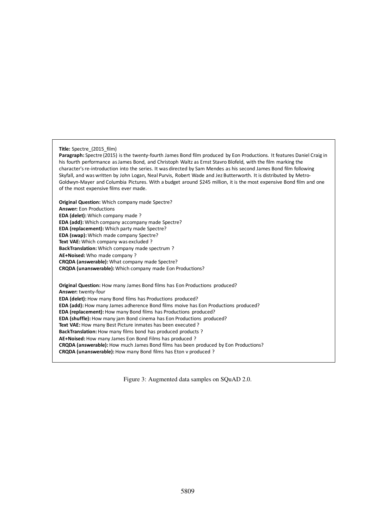#### <span id="page-11-0"></span>**Title:** Spectre\_(2015\_film)

Paragraph: Spectre (2015) is the twenty-fourth James Bond film produced by Eon Productions. It features Daniel Craig in his fourth performance as James Bond, and Christoph Waltz as Ernst Stavro Blofeld, with the film marking the character's re-introduction into the series. It was directed by Sam Mendes as his second James Bond film following Skyfall, and was written by John Logan, Neal Purvis, Robert Wade and Jez Butterworth. It is distributed by Metro-Goldwyn-Mayer and Columbia Pictures. With a budget around \$245 million, it is the most expensive Bond film and one of the most expensive films ever made.

**Original Question:** Which company made Spectre? **Answer:** Eon Productions **EDA** (delet): Which company made ? **EDA** (add): Which company accompany made Spectre? **EDA** (replacement): Which party made Spectre? **EDA** (swap): Which made company Spectre? **Text VAE:** Which company was excluded ? **BackTranslation:** Which company made spectrum ? **AE+Noised:** Who made company ? **CRQDA (answerable):** What company made Spectre? **CRQDA (unanswerable):** Which company made Eon Productions? **Original Question:** How many James Bond films has Eon Productions produced? **Answer:** twenty-four **EDA** (delet): How many Bond films has Productions produced? **EDA** (add): How many James adherence Bond films moive has Eon Productions produced? **EDA** (replacement): How many Bond films has Productions produced? **EDA** (shuffle): How many jam Bond cinema has Eon Productions produced? Text VAE: How many Best Picture inmates has been executed? **BackTranslation:** How many films bond has produced products ? AE+Noised: How many James Eon Bond Films has produced?

**CRQDA** (answerable): How much James Bond films has been produced by Eon Productions?

**CRQDA** (unanswerable): How many Bond films has Eton v produced ?

Figure 3: Augmented data samples on SQuAD 2.0.